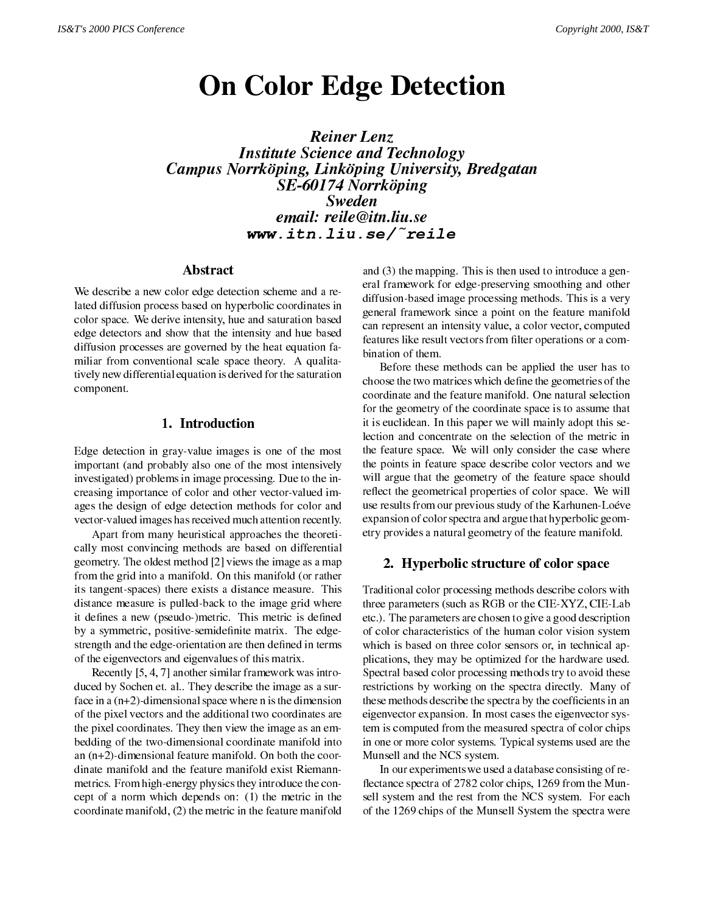# On Color Edge Detection

Reiner LenzInstitute Science and TechnologyCampus Norrkoping, Linkoping University, Breugatan  $SL$ -00174 Northoping  $\blacksquare$ Swedenemail: reile and reileast and reilence and resource and resource and resource and resource and resource and re www.itn.liu.se/~reile

#### Abstract

We describe a new color edge detection scheme and a related diffusion process based on hyperbolic coordinates in color space. We derive intensity, hue and saturation based edge detectors and show that the intensity and hue based diffusion processes are governed by the heat equation familiar from conventional scale space theory. A qualitatively new differential equation is derived for the saturation component.

Edge detection in gray-value images is one of the most important (and probably also one of the most intensively investigated) problems in image processing. Due to the increasing importance of color and other vector-valued images the design of edge detection methods for color and vector-valued images has received much attention recently.

Apart from many heuristical approaches the theoretically most convincing methods are based on differential geometry. The oldest method [2] views the image as a map from the grid into a manifold. On this manifold (or rather its tangent-spaces) there exists a distance measure. This distance measure is pulled-back to the image grid where it de-senegation is de-senegation in the extension of the extension of the extension of the extension of the extension of the extension of the extension of the extension of the extension of the extension of the extension o by a symmetric, positive-semide-nite matrix. The edgestrength and the edge-orientation are then de-ned in terms of the eigenvectors and eigenvalues of this matrix.

Recently [5, 4, 7] another similar framework was introduced by Sochen et. al.. They describe the image as a surface in a  $(n+2)$ -dimensional space where n is the dimension of the pixel vectors and the additional two coordinates are the pixel coordinates. They then view the image as an embedding of the two-dimensional coordinate manifold into an (n+2)-dimensional feature manifold. On both the coor dinate manifold and the feature manifold exist Riemannmetrics. From high-energy physics they introduce the concept of a norm which depends on: (1) the metric in the coordinate manifold, (2) the metric in the feature manifold and (3) the mapping. This is then used to introduce a general framework for edge-preserving smoothing and other diffusion-based image processing methods. This is a very general framework since a point on the feature manifold can represent an intensity value, a color vector, computed features like result vectors from -lter operations or a combination of them.

Before these methods can be applied the user has to choose the two matrices which de-ne the geometries of the coordinate and the feature manifold. One natural selection for the geometry of the coordinate space is to assume that it is euclidean. In this paper we will mainly adopt this selection and concentrate on the selection of the metric in the feature space. We will only consider the case where the points in feature space describe color vectors and we will argue that the geometry of the feature space should reflect the geometrical properties of color space. We will use results from our previous study of the Karhunen-Loéve expansion of color spectra and argue that hyperbolic geometry provides a natural geometry of the feature manifold.

# 2. Hyperbolic structure of color space

ned etc.). The parameters are chosen to give a good description Traditional color processing methods describe colors with three parameters (such as RGB or the CIE-XYZ, CIE-Lab of color characteristics of the human color vision system which is based on three color sensors or, in technical applications, they may be optimized for the hardware used. Spectral based color processing methods try to avoid these restrictions by working on the spectra directly. Many of these methods describes the spectra by the spectra by the spectra by the spectra by the coefeigenvector expansion. In most cases the eigenvector system is computed from the measured spectra of color chips in one or more color systems. Typical systems used are the Munsell and the NCS system.

> In our experiments we used a database consisting of re flectance spectra of 2782 color chips, 1269 from the Munsell system and the rest from the NCS system. For each of the 1269 chips of the Munsell System the spectra were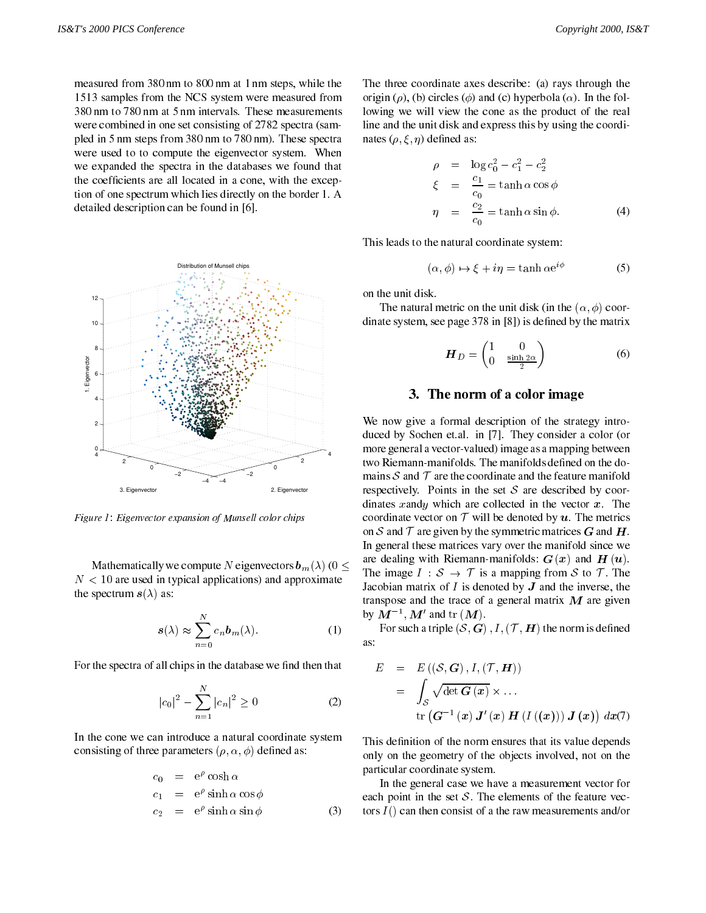measured from 380 nm to 800 nm at 1 nm steps, while the 1513 samples from the NCS system were measured from 380 nm to 780 nm at 5 nm intervals. These measurements were combined in one set consisting of 2782 spectra (sampled in 5 nm steps from 380 nm to 780 nm). These spectra were used to to compute the eigenvector system. When we expanded the spectra in the databases we found that the coef-cients are all located in a cone, with the exception of one spectrum which lies directly on the border 1. A detailed description can be found in [6].



Figure 1: Eigenvector expansion of Munsell color chips

Mathematically we compute N eigenvectors  $\mathbf{b}_m(\lambda)$  (0  $\leq$  $N < 10$  are used in typical applications) and approximate the spectrum  $s(\lambda)$  as:

$$
s(\lambda) \approx \sum_{n=0}^{N} c_n b_m(\lambda).
$$
 (1)

For the spectra of all chips in the database we -nd then that

$$
|c_0|^2 - \sum_{n=1}^{N} |c_n|^2 \ge 0
$$
 (2)

In the cone we can introduce a natural coordinate system consisting of an expansional  $\{p_1, \ldots, p_n\}$  denotes as:

$$
c_0 = e^{\rho} \cosh \alpha
$$
  
\n
$$
c_1 = e^{\rho} \sinh \alpha \cos \phi
$$
  
\n
$$
c_2 = e^{\rho} \sinh \alpha \sin \phi
$$
 (3) to

The three coordinate axes describe: (a) rays through the origin ( $\rho$ ), (b) circles ( $\phi$ ) and (c) hyperbola ( $\alpha$ ). In the following we will view the cone as the product of the real line and the unit disk and express this by using the coordinates (; ) de- ned as: (; ) de- ned as: (; ) de- ned as: (; ) de- ned as: (; ) de- ned as: (; ) de- ned as: (

$$
\rho = \log c_0^2 - c_1^2 - c_2^2
$$
  
\n
$$
\xi = \frac{c_1}{c_0} = \tanh \alpha \cos \phi
$$
  
\n
$$
\eta = \frac{c_2}{c_0} = \tanh \alpha \sin \phi.
$$
 (4)

This leads to the natural coordinate system:

$$
(\alpha, \phi) \mapsto \xi + i\eta = \tanh \alpha e^{i\phi} \tag{5}
$$

on the unit disk.

The natural metric on the unit disk (in the  $(\alpha, \phi)$  coordinate system, system, system, system, system, system, system, system, system, system, system, system, system,

$$
\boldsymbol{H}_{D} = \begin{pmatrix} 1 & 0 \\ 0 & \frac{\sinh 2\alpha}{2} \end{pmatrix} \tag{6}
$$

## 3. The norm of a color image

We now give a formal description of the strategy introduced by Sochen et.al. in [7]. They consider a color (or more general a vector-valued) image as a mapping between mains  $S$  and  $T$  are the coordinate and the feature manifold respectively. Points in the set  $S$  are described by coordinates xandy which are collected in the vector  $x$ . The coordinate vector on  $T$  will be denoted by  $u$ . The metrics on S and T are given by the symmetric matrices G and H. In general these matrices vary over the manifold since we are dealing with Riemann-manifolds:  $G(x)$  and  $H(u)$ . The image  $I : S \rightarrow T$  is a mapping from S to T. The Jacobian matrix of  $I$  is denoted by  $J$  and the inverse, the transpose and the trace of a general matrix  $M$  are given  $\mathbf{D} \mathbf{V} \boldsymbol{M} = \boldsymbol{M} \mathbf{M}$  and  $\mathbf{U} \boldsymbol{(M)}$ .

For such a triple (S; G) ; I; (T ; <sup>H</sup>) the norm is de-ned as:

$$
E = E((S, G), I, (T, H))
$$
  
= 
$$
\int_{S} \sqrt{\det G(x)} \times ...
$$
  
tr 
$$
(G^{-1}(x) J'(x) H (I ((x))) J (x)) dx(7)
$$

This deonly on the geometry of the objects involved, not on the particular coordinate system.

In the general case we have a measurement vector for each point in the set  $S$ . The elements of the feature vectors  $I()$  can then consist of a the raw measurements and/or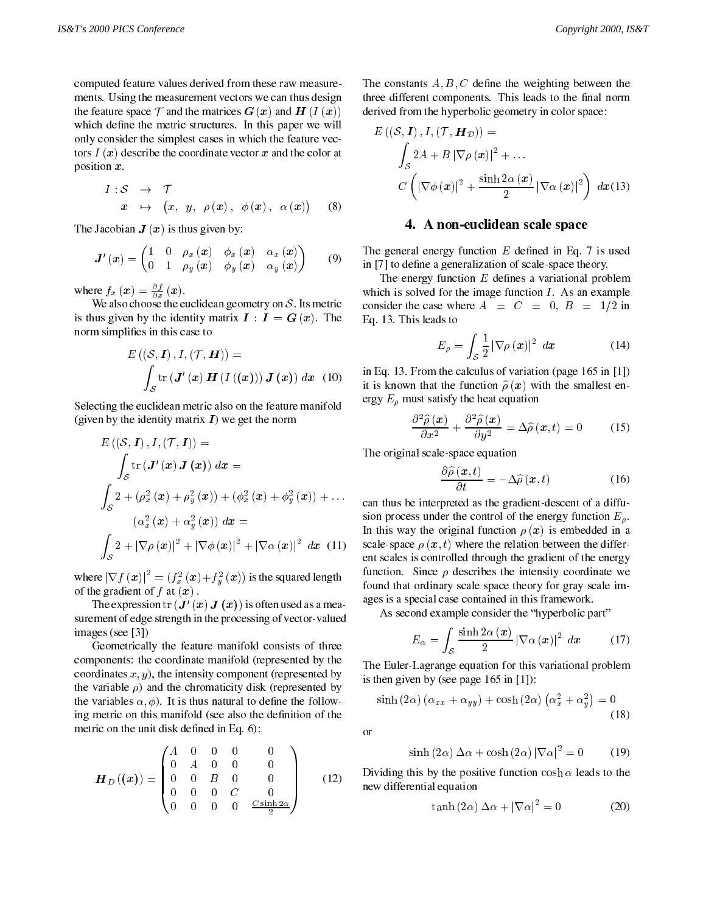computed feature values derived from these raw measurements. Using the measurement vectors we can thus design the feature space  $\mathcal T$  and the matrices  $G(x)$  and  $H(I(x))$ which de- ne the metric structures. In this paper we will be metric structures. In this paper we will be a pap only consider the simplest cases in which the feature vectors  $I(x)$  describe the coordinate vector x and the color at position x.

$$
I: \mathcal{S} \rightarrow \mathcal{T}
$$
  

$$
x \mapsto (x, y, \rho(x), \phi(x), \alpha(x))
$$
 (8)

The Jacobian  $J(x)$  is thus given by:

$$
\mathbf{J}'\left(\mathbf{x}\right) = \begin{pmatrix} 1 & 0 & \rho_x\left(\mathbf{x}\right) & \phi_x\left(\mathbf{x}\right) & \alpha_x\left(\mathbf{x}\right) \\ 0 & 1 & \rho_y\left(\mathbf{x}\right) & \phi_y\left(\mathbf{x}\right) & \alpha_y\left(\mathbf{x}\right) \end{pmatrix} \qquad (9) \qquad \frac{\mathbf{T}}{\mathbf{m}}
$$

where  $f_x(x) = \frac{1}{\partial x}(x)$ .

 $\mathcal{L}$  and also choose the euclidean geometric on S: Its metric metric metric  $\mathcal{L}$ is thus given by the identity matrix  $I : I = G(x)$ . The norm simplication in the case to the case to the case to the case to the case to the case to the case to the c

$$
E\left((\mathcal{S},\mathbf{I}),I,(\mathcal{T},\mathbf{H})\right)=\int_{\mathcal{S}}\text{tr}\left(\mathbf{J}'\left(\mathbf{x}\right)\mathbf{H}\left(I\left(\left(\mathbf{x}\right)\right)\right)\mathbf{J}\left(\mathbf{x}\right)\right) d\mathbf{x} \quad(10)\qquad\text{in }\quad
$$

Selecting the euclidean metric also on the feature manifold (given by the identity matrix  $\boldsymbol{I}$ ) we get the norm

$$
E\left(\left(S,\mathbf{I}\right),I,\left(\mathcal{T},\mathbf{I}\right)\right) = \text{Th}
$$
\n
$$
\int_{S} \text{tr}\left(\mathbf{J}'\left(\mathbf{x}\right)\mathbf{J}\left(\mathbf{x}\right)\right) d\mathbf{x} =
$$
\n
$$
\int_{S} 2 + \left(\rho_{x}^{2}\left(\mathbf{x}\right) + \rho_{y}^{2}\left(\mathbf{x}\right)\right) + \left(\phi_{x}^{2}\left(\mathbf{x}\right) + \phi_{y}^{2}\left(\mathbf{x}\right)\right) + \dots
$$
\n
$$
\left(\alpha_{x}^{2}\left(\mathbf{x}\right) + \alpha_{y}^{2}\left(\mathbf{x}\right)\right) d\mathbf{x} =
$$
\n
$$
\int_{S} 2 + \left|\nabla \rho\left(\mathbf{x}\right)\right|^{2} + \left|\nabla \phi\left(\mathbf{x}\right)\right|^{2} + \left|\nabla \alpha\left(\mathbf{x}\right)\right|^{2} d\mathbf{x} \quad (11) \quad \text{sga}
$$
\n
$$
\text{ent}
$$

where  $|\nabla f(x)|^2 = (f_x^2(x) + f_y^2(x))$  is the squared length  $\sum_{n=1}^{\infty}$ of the gradient of f at  $(x)$ .

The expression  $tr(\mathbf{J}'(\mathbf{x}) \mathbf{J}(\mathbf{x}))$  is often used as a measurement of edge strength in the processing of vector-valued images (see [3])

Geometrically the feature manifold consists of three components: the coordinate manifold (represented by the coordinates  $x, y$ ), the intensity component (represented by the variable  $\rho$ ) and the chromaticity disk (represented by  $t \cdot l$  is the variables  $t$  is the follow-definition of definition  $t$ ing metric on this manifold (see also the de-nition of the metric on the unit disk de-ned in Eq. 6):

$$
\boldsymbol{H}_{D}(\boldsymbol{x}) = \begin{pmatrix} A & 0 & 0 & 0 & 0 \\ 0 & A & 0 & 0 & 0 \\ 0 & 0 & B & 0 & 0 \\ 0 & 0 & 0 & C & 0 \\ 0 & 0 & 0 & 0 & \frac{C \sinh 2\alpha}{2} \end{pmatrix}
$$
 (12) Di

The constants A; B ; C de-ne the weighting between the three different components. This leads to the -nal norm derived from the hyperbolic geometry in color space:

$$
E\left(\left(\mathcal{S}, \mathbf{I}\right), I, \left(\mathcal{T}, \mathbf{H}_{\mathcal{D}}\right)\right) =
$$
\n
$$
\int_{\mathcal{S}} 2A + B \left|\nabla \rho\left(\mathbf{x}\right)\right|^2 + \dots
$$
\n
$$
C\left(\left|\nabla \phi\left(\mathbf{x}\right)\right|^2 + \frac{\sinh 2\alpha\left(\mathbf{x}\right)}{2} \left|\nabla \alpha\left(\mathbf{x}\right)\right|^2\right) \, d\mathbf{x}(13)
$$

#### 4. A non-euclidean scale space

 $\frac{1}{2}$  in | /| to define a generalization of scale-space theory. The general energy function E de-ned in Eq. 7 is used

 $\mathcal{L}$  function  $\mathcal{L}$  and  $\mathcal{L}$  are defined as variational problem in  $\mathcal{L}$ which is solved for the image function  $I$ . As an example consider the case where  $A = C = 0, B = 1/2$  in Eq. 13. This leads to

$$
E_{\rho} = \int_{\mathcal{S}} \frac{1}{2} \left| \nabla \rho \left( \boldsymbol{x} \right) \right|^2 \, d\boldsymbol{x} \tag{14}
$$

in Eq. 13. From the calculus of variation (page 165 in [1]) it is known that the function  $\hat{\rho}(x)$  with the smallest energy  $E_{\rho}$  must satisfy the heat equation

$$
\frac{\partial^2 \widehat{\rho}(\boldsymbol{x})}{\partial x^2} + \frac{\partial^2 \widehat{\rho}(\boldsymbol{x})}{\partial y^2} = \Delta \widehat{\rho}(\boldsymbol{x}, t) = 0 \quad (15)
$$

The original scale-space equation

$$
\frac{\partial \widehat{\rho}(\boldsymbol{x},t)}{\partial t} = -\Delta \widehat{\rho}(\boldsymbol{x},t) \tag{16}
$$

 $y^{(u)}$ <sup>+</sup> ::: can thus be interpreted as the gradient-descent of a diffusion process under the control of the energy function  $E_{\rho}$ . In this way the original function  $\rho(x)$  is embedded in a scale-space  $\rho(x, t)$  where the relation between the different scales is controlled through the gradient of the energy function. Since  $\rho$  describes the intensity coordinate we found that ordinary scale space theory for gray scale images is a special case contained in this framework.

As second example consider the "hyperbolic part"

$$
E_{\alpha} = \int_{\mathcal{S}} \frac{\sinh 2\alpha (x)}{2} |\nabla \alpha (x)|^2 dx \qquad (17)
$$

The Euler-Lagrange equation for this variational problem is then given by (see page 165 in [1]):

$$
\sinh(2\alpha)(\alpha_{xx} + \alpha_{yy}) + \cosh(2\alpha)(\alpha_x^2 + \alpha_y^2) = 0
$$
\n(18)

or

$$
\sinh(2\alpha) \Delta \alpha + \cosh(2\alpha) |\nabla \alpha|^2 = 0 \tag{19}
$$

 $\mathcal{L}_{(4,2)}$  Dividing this by the positive function cosh  $\alpha$  reads to the |  $\sqrt{2}$  new differential equation

$$
\tanh(2\alpha)\,\Delta\alpha + |\nabla\alpha|^2 = 0\tag{20}
$$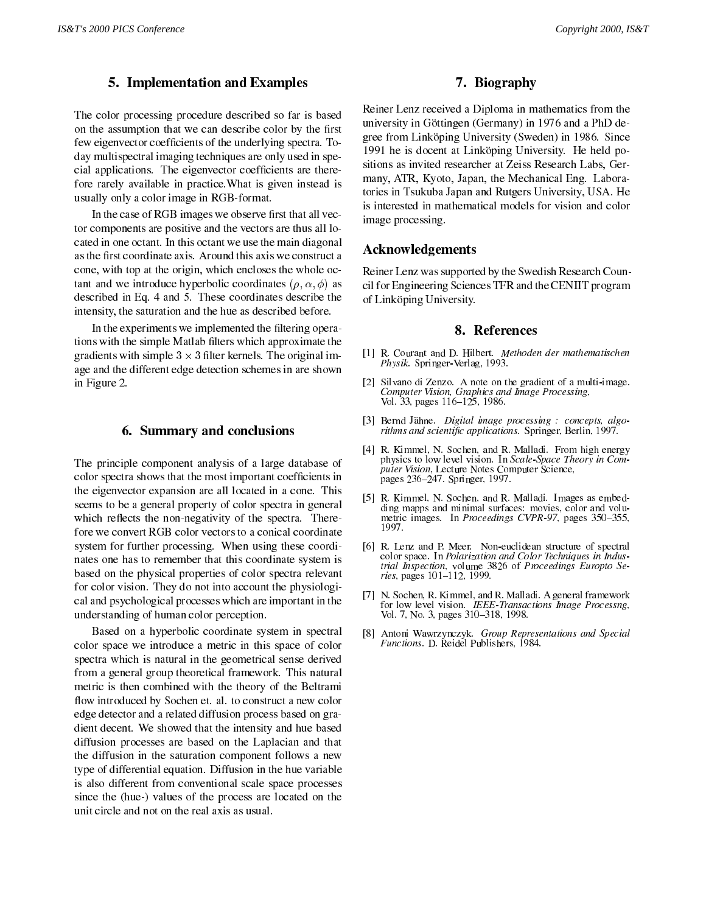## 5. Implementation and Examples

The color processing procedure described so far is based on that we can describe color by the assumption that we can describe color by the few eigenvector coef-cients of the underlying spectra. Today multispectral imaging techniques are only used in special applications. The eigenvector coefficients are there: fore rarely available in practice.What is given instead is usually only a color image in RGB-format.

In the case of RGB images we observe  $\mathbf{r}_B$ tor components are positive and the vectors are thus all located in one octant. In this octant we use the main diagonal cone, with top at the origin, which encloses the whole octant and we introduce hyperbolic coordinates  $(\rho, \alpha, \phi)$  as described in Eq. 4 and 5. These coordinates describe the intensity, the saturation and the hue as described before.

In the experiments we implemented the -ltering operations with the simple Matlab -lters which approximate the gradients with simple 3 - - 3 million million in-and-congrimminal age and the different edge detection schemes in are shown in Figure 2.

#### 6. Summary and conclusions

The principle component analysis of a large database of color spectra shows that the most important coef-cients in the eigenvector expansion are all located in a cone. This seems to be a general property of color spectra in general which reflects the non-negativity of the spectra. Therefore we convert RGB color vectors to a conical coordinate system for further processing. When using these coordinates one has to remember that this coordinate system is based on the physical properties of color spectra relevant for color vision. They do not into account the physiological and psychological processes which are important in the understanding of human color perception.

Based on a hyperbolic coordinate system in spectral color space we introduce a metric in this space of color spectra which is natural in the geometrical sense derived from a general group theoretical framework. This natural metric is then combined with the theory of the Beltrami flow introduced by Sochen et. al. to construct a new color edge detector and a related diffusion process based on gradient decent. We showed that the intensity and hue based diffusion processes are based on the Laplacian and that the diffusion in the saturation component follows a new type of differential equation. Diffusion in the hue variable is also different from conventional scale space processes since the (hue-) values of the process are located on the unit circle and not on the real axis as usual.

# 7. Biography

Reiner Lenz received a Diploma in mathematics from the university in Göttingen (Germany) in 1976 and a PhD degree from Link öping University (Sweden) in 1986. Since 1991 he is docent at Linköping University. He held positions as invited researcher at Zeiss Research Labs, Ger many, ATR, Kyoto, Japan, the Mechanical Eng. Laboratories in Tsukuba Japan and Rutgers University, USA. He is interested in mathematical models for vision and color image processing.

## Acknowledgements

Reiner Lenz was supported by the Swedish Research Council for Engineering Sciences TFR and the CENIIT program of Linköping University.

#### 8. References

- [1] R. Courant and D. Hilbert. Methoden der mathematischen Physik. Springer-Verlag, 1993.
- [2] Silvano di Zenzo. A note on the gradient of a multi-image. Computer Vision, Graphics and Image Processing, Vol. 33, pages 116–125, 1986.
- [3] Bernd Jähne. Digital image processing : concepts, algo $r$ *tunms and scientific applications.* Springer, Berlin, 1997.
- [4] R. Kimmel, N. Sochen, and R. Malladi. From high energy physics to low level vision. In Scale-Space Theory in Computer Vision, Lecture Notes Computer Science, pages 236247. Springer, 1997.
- [5] R. Kimmel, N. Sochen, and R. Malladi. Images as embedding mapps and minimal surfaces: movies, color and volumetric images. In Proceedings CVPR-97, pages 350-355, 1997.
- [6] R. Lenz and P. Meer. Non-euclidean structure of spectral color space. In Polarization and Color Techniques in Industrial Inspection, volume 3826 of Proceedings Europto Series, pages 101112, 1999.
- [7] N. Sochen, R. Kimmel, and R. Malladi. A general framework for low level vision. IEEE-Transactions Image Processng, Vol. 7, No. 3, pages 310-318, 1998.
- [8] Antoni Wawrzynczyk. Group Representations and Special Functions. D. Reidel Publishers, 1984.